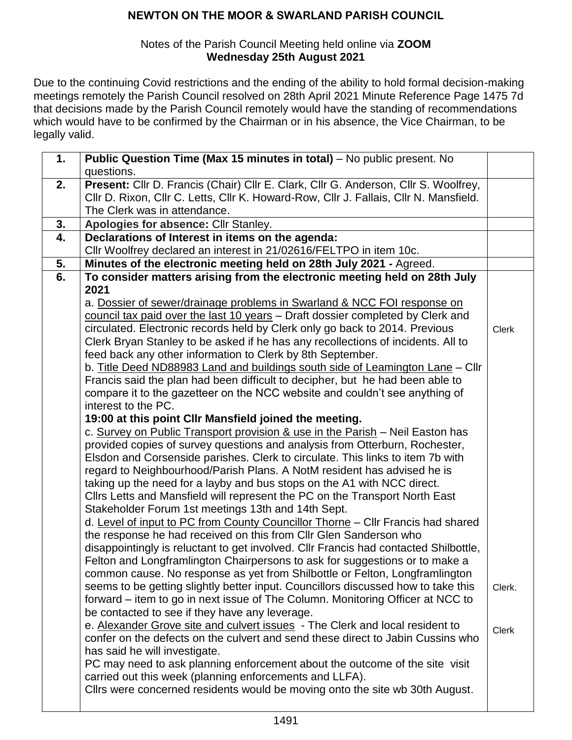#### Notes of the Parish Council Meeting held online via **ZOOM Wednesday 25th August 2021**

Due to the continuing Covid restrictions and the ending of the ability to hold formal decision-making meetings remotely the Parish Council resolved on 28th April 2021 Minute Reference Page 1475 7d that decisions made by the Parish Council remotely would have the standing of recommendations which would have to be confirmed by the Chairman or in his absence, the Vice Chairman, to be legally valid.

| 1. | Public Question Time (Max 15 minutes in total) - No public present. No                |              |
|----|---------------------------------------------------------------------------------------|--------------|
|    | questions.                                                                            |              |
| 2. | Present: Cllr D. Francis (Chair) Cllr E. Clark, Cllr G. Anderson, Cllr S. Woolfrey,   |              |
|    | Cllr D. Rixon, Cllr C. Letts, Cllr K. Howard-Row, Cllr J. Fallais, Cllr N. Mansfield. |              |
|    | The Clerk was in attendance.                                                          |              |
| 3. | Apologies for absence: Cllr Stanley.                                                  |              |
| 4. | Declarations of Interest in items on the agenda:                                      |              |
|    | Cllr Woolfrey declared an interest in 21/02616/FELTPO in item 10c.                    |              |
| 5. | Minutes of the electronic meeting held on 28th July 2021 - Agreed.                    |              |
| 6. | To consider matters arising from the electronic meeting held on 28th July             |              |
|    | 2021                                                                                  |              |
|    | a. Dossier of sewer/drainage problems in Swarland & NCC FOI response on               |              |
|    | council tax paid over the last 10 years - Draft dossier completed by Clerk and        |              |
|    | circulated. Electronic records held by Clerk only go back to 2014. Previous           | <b>Clerk</b> |
|    | Clerk Bryan Stanley to be asked if he has any recollections of incidents. All to      |              |
|    | feed back any other information to Clerk by 8th September.                            |              |
|    | b. Title Deed ND88983 Land and buildings south side of Leamington Lane - Cllr         |              |
|    | Francis said the plan had been difficult to decipher, but he had been able to         |              |
|    | compare it to the gazetteer on the NCC website and couldn't see anything of           |              |
|    | interest to the PC.                                                                   |              |
|    | 19:00 at this point CIIr Mansfield joined the meeting.                                |              |
|    | c. Survey on Public Transport provision & use in the Parish - Neil Easton has         |              |
|    | provided copies of survey questions and analysis from Otterburn, Rochester,           |              |
|    | Elsdon and Corsenside parishes. Clerk to circulate. This links to item 7b with        |              |
|    | regard to Neighbourhood/Parish Plans. A NotM resident has advised he is               |              |
|    | taking up the need for a layby and bus stops on the A1 with NCC direct.               |              |
|    | Clirs Letts and Mansfield will represent the PC on the Transport North East           |              |
|    | Stakeholder Forum 1st meetings 13th and 14th Sept.                                    |              |
|    | d. Level of input to PC from County Councillor Thorne - Cllr Francis had shared       |              |
|    | the response he had received on this from Cllr Glen Sanderson who                     |              |
|    | disappointingly is reluctant to get involved. Cllr Francis had contacted Shilbottle,  |              |
|    | Felton and Longframlington Chairpersons to ask for suggestions or to make a           |              |
|    | common cause. No response as yet from Shilbottle or Felton, Longframlington           |              |
|    | seems to be getting slightly better input. Councillors discussed how to take this     | Clerk.       |
|    | forward – item to go in next issue of The Column. Monitoring Officer at NCC to        |              |
|    | be contacted to see if they have any leverage.                                        |              |
|    | e. Alexander Grove site and culvert issues - The Clerk and local resident to          | <b>Clerk</b> |
|    | confer on the defects on the culvert and send these direct to Jabin Cussins who       |              |
|    | has said he will investigate.                                                         |              |
|    | PC may need to ask planning enforcement about the outcome of the site visit           |              |
|    | carried out this week (planning enforcements and LLFA).                               |              |
|    | Cllrs were concerned residents would be moving onto the site wb 30th August.          |              |
|    |                                                                                       |              |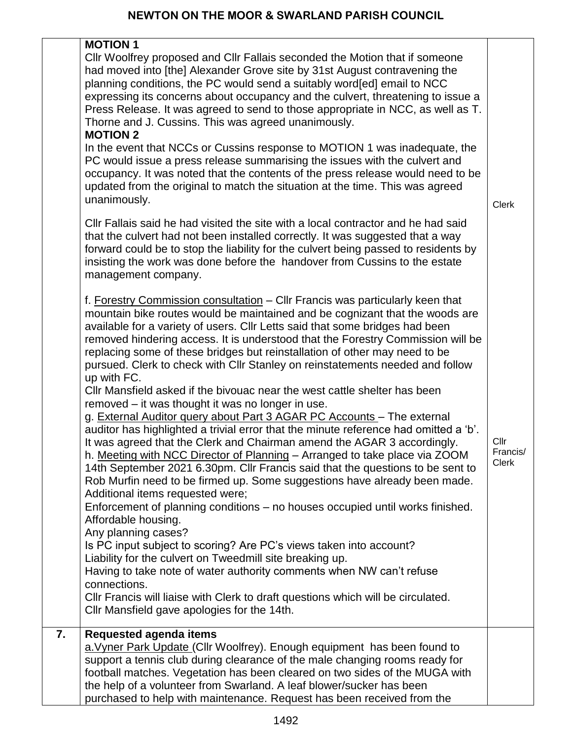|    | <b>MOTION 1</b>                                                                                                                                                                                                                                                                                                                                                                                                                                                                                                                                                                                                                                              |                                  |
|----|--------------------------------------------------------------------------------------------------------------------------------------------------------------------------------------------------------------------------------------------------------------------------------------------------------------------------------------------------------------------------------------------------------------------------------------------------------------------------------------------------------------------------------------------------------------------------------------------------------------------------------------------------------------|----------------------------------|
|    | Cllr Woolfrey proposed and Cllr Fallais seconded the Motion that if someone<br>had moved into [the] Alexander Grove site by 31st August contravening the<br>planning conditions, the PC would send a suitably word [ed] email to NCC<br>expressing its concerns about occupancy and the culvert, threatening to issue a<br>Press Release. It was agreed to send to those appropriate in NCC, as well as T.<br>Thorne and J. Cussins. This was agreed unanimously.<br><b>MOTION 2</b>                                                                                                                                                                         |                                  |
|    | In the event that NCCs or Cussins response to MOTION 1 was inadequate, the<br>PC would issue a press release summarising the issues with the culvert and<br>occupancy. It was noted that the contents of the press release would need to be<br>updated from the original to match the situation at the time. This was agreed<br>unanimously.                                                                                                                                                                                                                                                                                                                 | <b>Clerk</b>                     |
|    | CIIr Fallais said he had visited the site with a local contractor and he had said<br>that the culvert had not been installed correctly. It was suggested that a way<br>forward could be to stop the liability for the culvert being passed to residents by<br>insisting the work was done before the handover from Cussins to the estate<br>management company.                                                                                                                                                                                                                                                                                              |                                  |
|    | f. Forestry Commission consultation - Cllr Francis was particularly keen that<br>mountain bike routes would be maintained and be cognizant that the woods are<br>available for a variety of users. Cllr Letts said that some bridges had been<br>removed hindering access. It is understood that the Forestry Commission will be<br>replacing some of these bridges but reinstallation of other may need to be<br>pursued. Clerk to check with Cllr Stanley on reinstatements needed and follow<br>up with FC.                                                                                                                                               |                                  |
|    | Cllr Mansfield asked if the bivouac near the west cattle shelter has been<br>removed – it was thought it was no longer in use.<br>g. External Auditor query about Part 3 AGAR PC Accounts - The external<br>auditor has highlighted a trivial error that the minute reference had omitted a 'b'.<br>It was agreed that the Clerk and Chairman amend the AGAR 3 accordingly.<br>h. Meeting with NCC Director of Planning - Arranged to take place via ZOOM<br>14th September 2021 6.30pm. Cllr Francis said that the questions to be sent to<br>Rob Murfin need to be firmed up. Some suggestions have already been made.<br>Additional items requested were; | Cllr<br>Francis/<br><b>Clerk</b> |
|    | Enforcement of planning conditions - no houses occupied until works finished.<br>Affordable housing.<br>Any planning cases?<br>Is PC input subject to scoring? Are PC's views taken into account?<br>Liability for the culvert on Tweedmill site breaking up.<br>Having to take note of water authority comments when NW can't refuse<br>connections.<br>CIIr Francis will liaise with Clerk to draft questions which will be circulated.<br>Cllr Mansfield gave apologies for the 14th.                                                                                                                                                                     |                                  |
| 7. | <b>Requested agenda items</b><br>a. Vyner Park Update (Cllr Woolfrey). Enough equipment has been found to                                                                                                                                                                                                                                                                                                                                                                                                                                                                                                                                                    |                                  |
|    | support a tennis club during clearance of the male changing rooms ready for<br>football matches. Vegetation has been cleared on two sides of the MUGA with<br>the help of a volunteer from Swarland. A leaf blower/sucker has been<br>purchased to help with maintenance. Request has been received from the                                                                                                                                                                                                                                                                                                                                                 |                                  |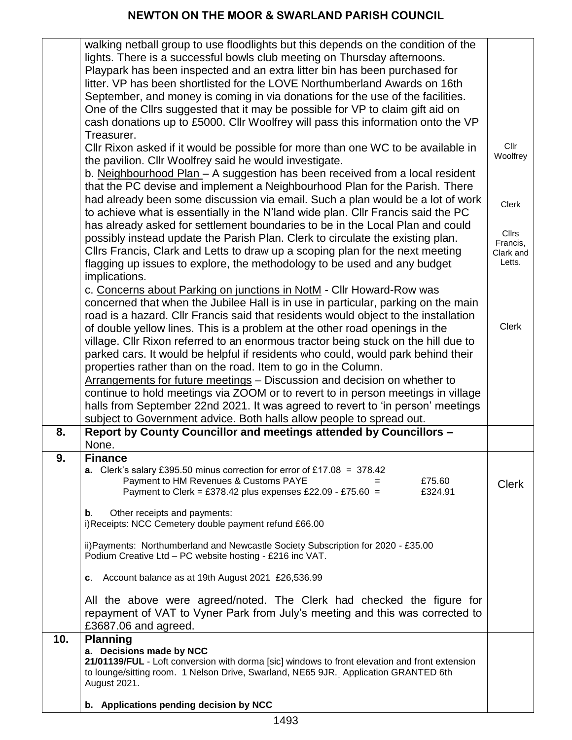|     | walking netball group to use floodlights but this depends on the condition of the<br>lights. There is a successful bowls club meeting on Thursday afternoons.<br>Playpark has been inspected and an extra litter bin has been purchased for<br>litter. VP has been shortlisted for the LOVE Northumberland Awards on 16th                                                                               |                                                 |
|-----|---------------------------------------------------------------------------------------------------------------------------------------------------------------------------------------------------------------------------------------------------------------------------------------------------------------------------------------------------------------------------------------------------------|-------------------------------------------------|
|     | September, and money is coming in via donations for the use of the facilities.<br>One of the Cllrs suggested that it may be possible for VP to claim gift aid on<br>cash donations up to £5000. Cllr Woolfrey will pass this information onto the VP                                                                                                                                                    |                                                 |
|     | Treasurer.<br>CIIr Rixon asked if it would be possible for more than one WC to be available in<br>the pavilion. Cllr Woolfrey said he would investigate.<br>b. Neighbourhood Plan - A suggestion has been received from a local resident                                                                                                                                                                | Cllr<br>Woolfrey                                |
|     | that the PC devise and implement a Neighbourhood Plan for the Parish. There<br>had already been some discussion via email. Such a plan would be a lot of work<br>to achieve what is essentially in the N'land wide plan. Cllr Francis said the PC                                                                                                                                                       | <b>Clerk</b>                                    |
|     | has already asked for settlement boundaries to be in the Local Plan and could<br>possibly instead update the Parish Plan. Clerk to circulate the existing plan.<br>Cllrs Francis, Clark and Letts to draw up a scoping plan for the next meeting<br>flagging up issues to explore, the methodology to be used and any budget                                                                            | <b>Cllrs</b><br>Francis,<br>Clark and<br>Letts. |
|     | implications.<br>c. Concerns about Parking on junctions in NotM - Cllr Howard-Row was<br>concerned that when the Jubilee Hall is in use in particular, parking on the main<br>road is a hazard. Cllr Francis said that residents would object to the installation<br>of double yellow lines. This is a problem at the other road openings in the                                                        | <b>Clerk</b>                                    |
|     | village. Cllr Rixon referred to an enormous tractor being stuck on the hill due to<br>parked cars. It would be helpful if residents who could, would park behind their<br>properties rather than on the road. Item to go in the Column.<br>Arrangements for future meetings - Discussion and decision on whether to<br>continue to hold meetings via ZOOM or to revert to in person meetings in village |                                                 |
|     | halls from September 22nd 2021. It was agreed to revert to 'in person' meetings<br>subject to Government advice. Both halls allow people to spread out.                                                                                                                                                                                                                                                 |                                                 |
| 8.  | Report by County Councillor and meetings attended by Councillors -<br>None.                                                                                                                                                                                                                                                                                                                             |                                                 |
| 9.  | <b>Finance</b><br><b>a.</b> Clerk's salary £395.50 minus correction for error of £17.08 = 378.42<br>Payment to HM Revenues & Customs PAYE<br>£75.60<br>$=$<br>Payment to Clerk = £378.42 plus expenses £22.09 - £75.60 =<br>£324.91                                                                                                                                                                     | <b>Clerk</b>                                    |
|     | Other receipts and payments:<br>$\mathbf b$ .<br>i)Receipts: NCC Cemetery double payment refund £66.00                                                                                                                                                                                                                                                                                                  |                                                 |
|     | ii) Payments: Northumberland and Newcastle Society Subscription for 2020 - £35.00<br>Podium Creative Ltd - PC website hosting - £216 inc VAT.                                                                                                                                                                                                                                                           |                                                 |
|     | Account balance as at 19th August 2021 £26,536.99<br>C.                                                                                                                                                                                                                                                                                                                                                 |                                                 |
|     | All the above were agreed/noted. The Clerk had checked the figure for<br>repayment of VAT to Vyner Park from July's meeting and this was corrected to<br>£3687.06 and agreed.                                                                                                                                                                                                                           |                                                 |
| 10. | <b>Planning</b><br>a. Decisions made by NCC<br>21/01139/FUL - Loft conversion with dorma [sic] windows to front elevation and front extension<br>to lounge/sitting room. 1 Nelson Drive, Swarland, NE65 9JR. Application GRANTED 6th<br>August 2021.                                                                                                                                                    |                                                 |
|     | b. Applications pending decision by NCC                                                                                                                                                                                                                                                                                                                                                                 |                                                 |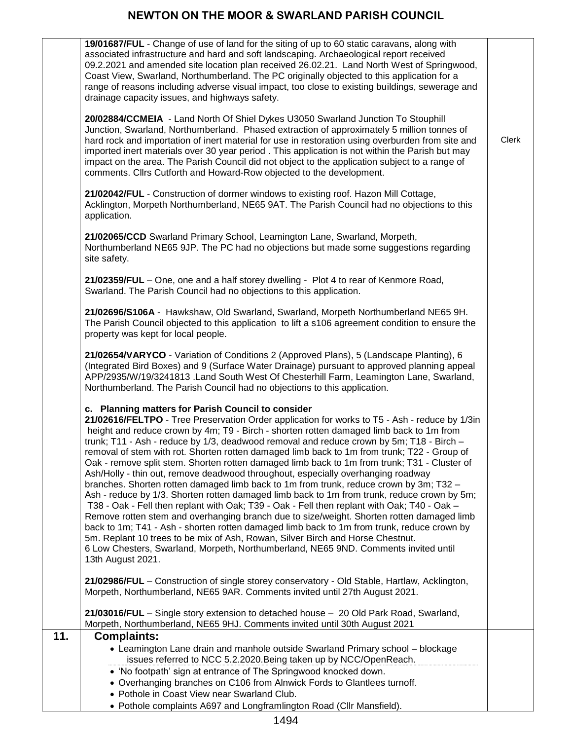|     | 19/01687/FUL - Change of use of land for the siting of up to 60 static caravans, along with<br>associated infrastructure and hard and soft landscaping. Archaeological report received<br>09.2.2021 and amended site location plan received 26.02.21. Land North West of Springwood,<br>Coast View, Swarland, Northumberland. The PC originally objected to this application for a<br>range of reasons including adverse visual impact, too close to existing buildings, sewerage and<br>drainage capacity issues, and highways safety.                                                                                                                                                                                                                                                                                                                                                                                                                                                                                                                                                                                                                                                                                                                                                                        |              |
|-----|----------------------------------------------------------------------------------------------------------------------------------------------------------------------------------------------------------------------------------------------------------------------------------------------------------------------------------------------------------------------------------------------------------------------------------------------------------------------------------------------------------------------------------------------------------------------------------------------------------------------------------------------------------------------------------------------------------------------------------------------------------------------------------------------------------------------------------------------------------------------------------------------------------------------------------------------------------------------------------------------------------------------------------------------------------------------------------------------------------------------------------------------------------------------------------------------------------------------------------------------------------------------------------------------------------------|--------------|
|     | 20/02884/CCMEIA - Land North Of Shiel Dykes U3050 Swarland Junction To Stouphill<br>Junction, Swarland, Northumberland. Phased extraction of approximately 5 million tonnes of<br>hard rock and importation of inert material for use in restoration using overburden from site and<br>imported inert materials over 30 year period. This application is not within the Parish but may<br>impact on the area. The Parish Council did not object to the application subject to a range of<br>comments. Clirs Cutforth and Howard-Row objected to the development.                                                                                                                                                                                                                                                                                                                                                                                                                                                                                                                                                                                                                                                                                                                                               | <b>Clerk</b> |
|     | 21/02042/FUL - Construction of dormer windows to existing roof. Hazon Mill Cottage,<br>Acklington, Morpeth Northumberland, NE65 9AT. The Parish Council had no objections to this<br>application.                                                                                                                                                                                                                                                                                                                                                                                                                                                                                                                                                                                                                                                                                                                                                                                                                                                                                                                                                                                                                                                                                                              |              |
|     | 21/02065/CCD Swarland Primary School, Leamington Lane, Swarland, Morpeth,<br>Northumberland NE65 9JP. The PC had no objections but made some suggestions regarding<br>site safety.                                                                                                                                                                                                                                                                                                                                                                                                                                                                                                                                                                                                                                                                                                                                                                                                                                                                                                                                                                                                                                                                                                                             |              |
|     | 21/02359/FUL - One, one and a half storey dwelling - Plot 4 to rear of Kenmore Road,<br>Swarland. The Parish Council had no objections to this application.                                                                                                                                                                                                                                                                                                                                                                                                                                                                                                                                                                                                                                                                                                                                                                                                                                                                                                                                                                                                                                                                                                                                                    |              |
|     | 21/02696/S106A - Hawkshaw, Old Swarland, Swarland, Morpeth Northumberland NE65 9H.<br>The Parish Council objected to this application to lift a s106 agreement condition to ensure the<br>property was kept for local people.                                                                                                                                                                                                                                                                                                                                                                                                                                                                                                                                                                                                                                                                                                                                                                                                                                                                                                                                                                                                                                                                                  |              |
|     | 21/02654/VARYCO - Variation of Conditions 2 (Approved Plans), 5 (Landscape Planting), 6<br>(Integrated Bird Boxes) and 9 (Surface Water Drainage) pursuant to approved planning appeal<br>APP/2935/W/19/3241813 .Land South West Of Chesterhill Farm, Leamington Lane, Swarland,<br>Northumberland. The Parish Council had no objections to this application.                                                                                                                                                                                                                                                                                                                                                                                                                                                                                                                                                                                                                                                                                                                                                                                                                                                                                                                                                  |              |
|     | c. Planning matters for Parish Council to consider<br>21/02616/FELTPO - Tree Preservation Order application for works to T5 - Ash - reduce by 1/3in<br>height and reduce crown by 4m; T9 - Birch - shorten rotten damaged limb back to 1m from<br>trunk; T11 - Ash - reduce by 1/3, deadwood removal and reduce crown by 5m; T18 - Birch -<br>removal of stem with rot. Shorten rotten damaged limb back to 1m from trunk; T22 - Group of<br>Oak - remove split stem. Shorten rotten damaged limb back to 1m from trunk; T31 - Cluster of<br>Ash/Holly - thin out, remove deadwood throughout, especially overhanging roadway<br>branches. Shorten rotten damaged limb back to 1m from trunk, reduce crown by 3m; T32 -<br>Ash - reduce by 1/3. Shorten rotten damaged limb back to 1m from trunk, reduce crown by 5m;<br>T38 - Oak - Fell then replant with Oak; T39 - Oak - Fell then replant with Oak; T40 - Oak -<br>Remove rotten stem and overhanging branch due to size/weight. Shorten rotten damaged limb<br>back to 1m; T41 - Ash - shorten rotten damaged limb back to 1m from trunk, reduce crown by<br>5m. Replant 10 trees to be mix of Ash, Rowan, Silver Birch and Horse Chestnut.<br>6 Low Chesters, Swarland, Morpeth, Northumberland, NE65 9ND. Comments invited until<br>13th August 2021. |              |
|     | 21/02986/FUL - Construction of single storey conservatory - Old Stable, Hartlaw, Acklington,<br>Morpeth, Northumberland, NE65 9AR. Comments invited until 27th August 2021.                                                                                                                                                                                                                                                                                                                                                                                                                                                                                                                                                                                                                                                                                                                                                                                                                                                                                                                                                                                                                                                                                                                                    |              |
|     | 21/03016/FUL - Single story extension to detached house - 20 Old Park Road, Swarland,<br>Morpeth, Northumberland, NE65 9HJ. Comments invited until 30th August 2021                                                                                                                                                                                                                                                                                                                                                                                                                                                                                                                                                                                                                                                                                                                                                                                                                                                                                                                                                                                                                                                                                                                                            |              |
| 11. | <b>Complaints:</b><br>• Leamington Lane drain and manhole outside Swarland Primary school - blockage<br>issues referred to NCC 5.2.2020. Being taken up by NCC/OpenReach.<br>• 'No footpath' sign at entrance of The Springwood knocked down.<br>• Overhanging branches on C106 from Alnwick Fords to Glantlees turnoff.<br>• Pothole in Coast View near Swarland Club.                                                                                                                                                                                                                                                                                                                                                                                                                                                                                                                                                                                                                                                                                                                                                                                                                                                                                                                                        |              |
|     | • Pothole complaints A697 and Longframlington Road (Cllr Mansfield).                                                                                                                                                                                                                                                                                                                                                                                                                                                                                                                                                                                                                                                                                                                                                                                                                                                                                                                                                                                                                                                                                                                                                                                                                                           |              |